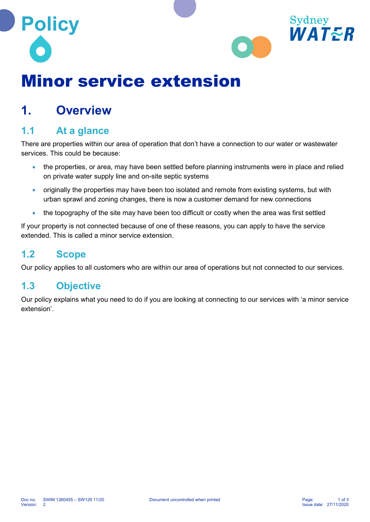



# Minor service extension

### 1. Overview

#### 1.1 At a glance

There are properties within our area of operation that don't have a connection to our water or wastewater services. This could be because:

- the properties, or area, may have been settled before planning instruments were in place and relied on private water supply line and on-site septic systems
- originally the properties may have been too isolated and remote from existing systems, but with urban sprawl and zoning changes, there is now a customer demand for new connections
- the topography of the site may have been too difficult or costly when the area was first settled

If your property is not connected because of one of these reasons, you can apply to have the service extended. This is called a minor service extension.

#### 1.2 Scope

Our policy applies to all customers who are within our area of operations but not connected to our services.

#### 1.3 Objective

Our policy explains what you need to do if you are looking at connecting to our services with 'a minor service extension'.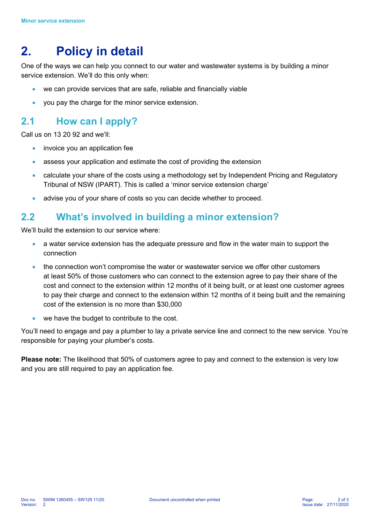## 2. Policy in detail

One of the ways we can help you connect to our water and wastewater systems is by building a minor service extension. We'll do this only when:

- we can provide services that are safe, reliable and financially viable
- you pay the charge for the minor service extension.

#### 2.1 How can I apply?

Call us on 13 20 92 and we'll:

- invoice you an application fee
- assess your application and estimate the cost of providing the extension
- calculate your share of the costs using a methodology set by Independent Pricing and Regulatory Tribunal of NSW (IPART). This is called a 'minor service extension charge'
- advise you of your share of costs so you can decide whether to proceed.

#### 2.2 What's involved in building a minor extension?

We'll build the extension to our service where:

- a water service extension has the adequate pressure and flow in the water main to support the connection
- the connection won't compromise the water or wastewater service we offer other customers at least 50% of those customers who can connect to the extension agree to pay their share of the cost and connect to the extension within 12 months of it being built, or at least one customer agrees to pay their charge and connect to the extension within 12 months of it being built and the remaining cost of the extension is no more than \$30,000
- we have the budget to contribute to the cost.

You'll need to engage and pay a plumber to lay a private service line and connect to the new service. You're responsible for paying your plumber's costs.

Please note: The likelihood that 50% of customers agree to pay and connect to the extension is very low and you are still required to pay an application fee.